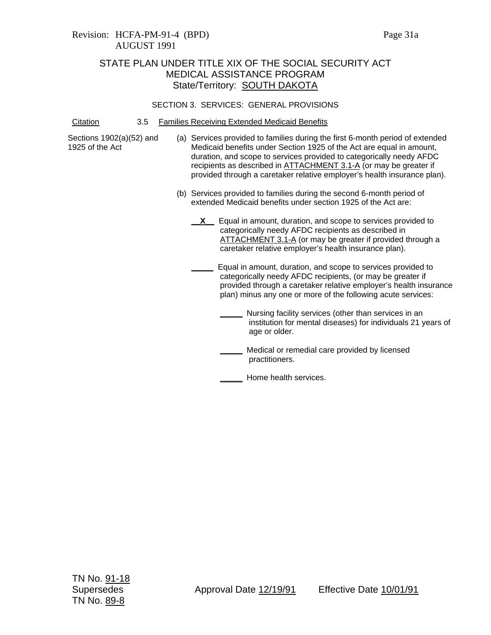#### SECTION 3. SERVICES: GENERAL PROVISIONS

Citation 3.5 Families Receiving Extended Medicaid Benefits

Sections 1902(a)(52) and 1925 of the Act

- (a) Services provided to families during the first 6-month period of extended Medicaid benefits under Section 1925 of the Act are equal in amount, duration, and scope to services provided to categorically needy AFDC recipients as described in ATTACHMENT 3.1-A (or may be greater if provided through a caretaker relative employer's health insurance plan).
	- (b) Services provided to families during the second 6-month period of extended Medicaid benefits under section 1925 of the Act are:
		- **X** Equal in amount, duration, and scope to services provided to categorically needy AFDC recipients as described in ATTACHMENT 3.1-A (or may be greater if provided through a caretaker relative employer's health insurance plan).

**\_\_\_\_\_** Equal in amount, duration, and scope to services provided to categorically needy AFDC recipients, (or may be greater if provided through a caretaker relative employer's health insurance plan) minus any one or more of the following acute services:

- **\_\_\_\_\_** Nursing facility services (other than services in an institution for mental diseases) for individuals 21 years of age or older.
- **\_\_\_\_\_** Medical or remedial care provided by licensed practitioners.
- **\_\_\_\_\_** Home health services.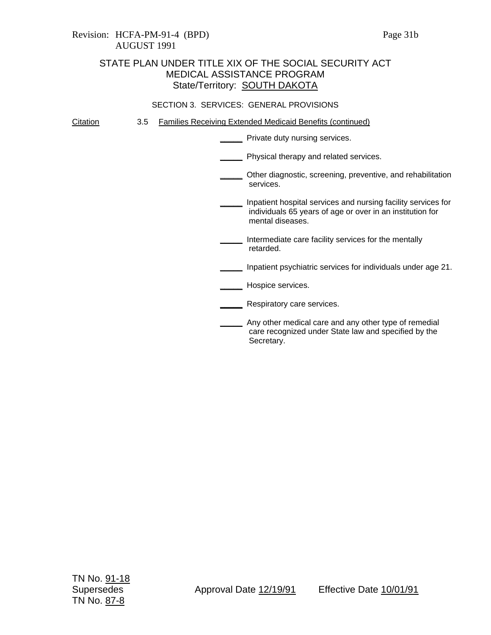#### SECTION 3. SERVICES: GENERAL PROVISIONS

Citation 3.5 Families Receiving Extended Medicaid Benefits (continued)

**\_\_\_\_\_** Private duty nursing services.

**\_\_\_\_\_** Physical therapy and related services.

**\_\_\_\_\_** Other diagnostic, screening, preventive, and rehabilitation services.

**\_\_\_\_\_** Inpatient hospital services and nursing facility services for individuals 65 years of age or over in an institution for mental diseases.

**\_\_\_\_\_** Intermediate care facility services for the mentally retarded.

**\_\_\_\_\_** Inpatient psychiatric services for individuals under age 21.

**\_\_\_\_\_** Hospice services.

**\_\_\_\_\_** Respiratory care services.

**\_\_\_\_\_** Any other medical care and any other type of remedial care recognized under State law and specified by the Secretary.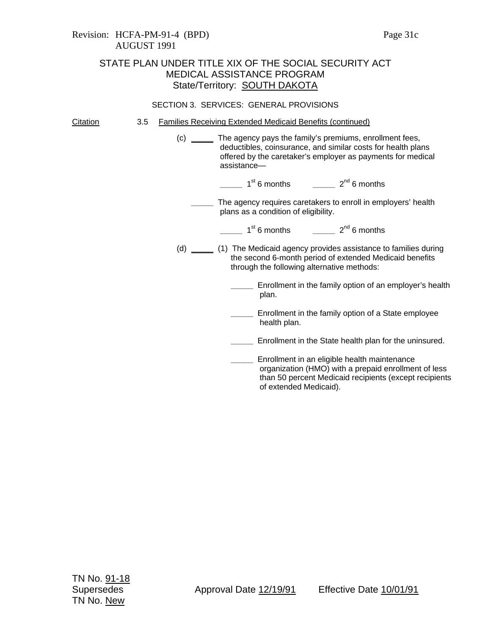### SECTION 3. SERVICES: GENERAL PROVISIONS

Citation 3.5 Families Receiving Extended Medicaid Benefits (continued)

(c) **\_\_\_\_\_** The agency pays the family's premiums, enrollment fees, deductibles, coinsurance, and similar costs for health plans offered by the caretaker's employer as payments for medical assistance—

**\_\_\_\_\_** 1st 6 months **\_\_\_\_\_** 2nd 6 months

- **\_\_\_\_\_** The agency requires caretakers to enroll in employers' health plans as a condition of eligibility.
	- 1<sup>st</sup> 6 months **2<sup>nd</sup> 6 months**
- (d) **\_\_\_\_\_** (1) The Medicaid agency provides assistance to families during the second 6-month period of extended Medicaid benefits through the following alternative methods:
	- **\_\_\_\_\_** Enrollment in the family option of an employer's health plan.
	- **\_\_\_\_\_** Enrollment in the family option of a State employee health plan.
	- **\_\_\_\_\_** Enrollment in the State health plan for the uninsured.
	- **\_\_\_\_\_** Enrollment in an eligible health maintenance organization (HMO) with a prepaid enrollment of less than 50 percent Medicaid recipients (except recipients of extended Medicaid).